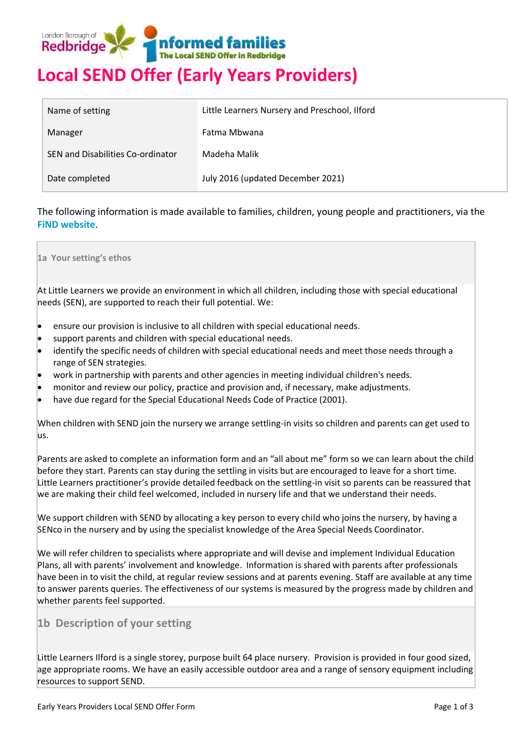

# **Local SEND Offer (Early Years Providers)**

| Name of setting                   | Little Learners Nursery and Preschool, Ilford |  |  |  |
|-----------------------------------|-----------------------------------------------|--|--|--|
| Manager                           | Fatma Mbwana                                  |  |  |  |
| SEN and Disabilities Co-ordinator | Madeha Malik                                  |  |  |  |
| Date completed                    | July 2016 (updated December 2021)             |  |  |  |

The following information is made available to families, children, young people and practitioners, via the **[FiND website](http://find.redbridge.gov.uk/)**.

**1a Your setting's ethos**

At Little Learners we provide an environment in which all children, including those with special educational needs (SEN), are supported to reach their full potential. We:

- ensure our provision is inclusive to all children with special educational needs.
- support parents and children with special educational needs.
- identify the specific needs of children with special educational needs and meet those needs through a range of SEN strategies.
- work in partnership with parents and other agencies in meeting individual children's needs.
- monitor and review our policy, practice and provision and, if necessary, make adjustments.
- have due regard for the Special Educational Needs Code of Practice (2001).

When children with SEND join the nursery we arrange settling-in visits so children and parents can get used to us.

Parents are asked to complete an information form and an "all about me" form so we can learn about the child before they start. Parents can stay during the settling in visits but are encouraged to leave for a short time. Little Learners practitioner's provide detailed feedback on the settling-in visit so parents can be reassured that we are making their child feel welcomed, included in nursery life and that we understand their needs.

We support children with SEND by allocating a key person to every child who joins the nursery, by having a SENco in the nursery and by using the specialist knowledge of the Area Special Needs Coordinator.

We will refer children to specialists where appropriate and will devise and implement Individual Education Plans, all with parents' involvement and knowledge. Information is shared with parents after professionals have been in to visit the child, at regular review sessions and at parents evening. Staff are available at any time to answer parents queries. The effectiveness of our systems is measured by the progress made by children and whether parents feel supported.

# **1b Description of your setting**

Little Learners Ilford is a single storey, purpose built 64 place nursery. Provision is provided in four good sized, age appropriate rooms. We have an easily accessible outdoor area and a range of sensory equipment including resources to support SEND.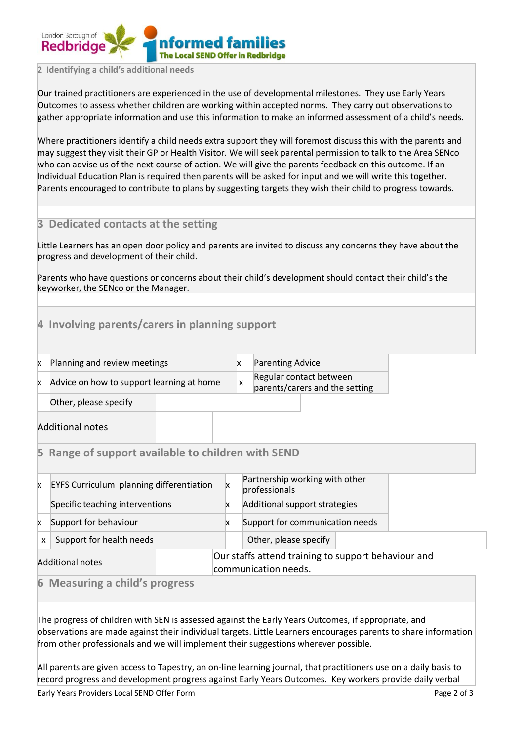

#### **2 Identifying a child's additional needs**

Our trained practitioners are experienced in the use of developmental milestones. They use Early Years Outcomes to assess whether children are working within accepted norms. They carry out observations to gather appropriate information and use this information to make an informed assessment of a child's needs.

Where practitioners identify a child needs extra support they will foremost discuss this with the parents and may suggest they visit their GP or Health Visitor. We will seek parental permission to talk to the Area SENco who can advise us of the next course of action. We will give the parents feedback on this outcome. If an Individual Education Plan is required then parents will be asked for input and we will write this together. Parents encouraged to contribute to plans by suggesting targets they wish their child to progress towards.

# **3 Dedicated contacts at the setting**

Little Learners has an open door policy and parents are invited to discuss any concerns they have about the progress and development of their child.

Parents who have questions or concerns about their child's development should contact their child's the keyworker, the SENco or the Manager.

# **4 Involving parents/carers in planning support**

| X | Planning and review meeting |  |  |  |
|---|-----------------------------|--|--|--|
|---|-----------------------------|--|--|--|

 $x \neq x$  Parenting Advice Regular contact between

Advice on how to support learning at home  $\overline{\mathbf{x}}$ 

parents/carers and the setting

Other, please specify

Additional notes

## **5 Range of support available to children with SEND**

| x                | <b>EYFS Curriculum planning differentiation</b> |  | Partnership working with other<br>professionals                             |  |  |
|------------------|-------------------------------------------------|--|-----------------------------------------------------------------------------|--|--|
|                  | Specific teaching interventions                 |  | Additional support strategies                                               |  |  |
| x                | Support for behaviour                           |  | Support for communication needs                                             |  |  |
| x                | Support for health needs                        |  | Other, please specify                                                       |  |  |
| Additional notes |                                                 |  | Our staffs attend training to support behaviour and<br>communication needs. |  |  |

**6 Measuring a child's progress**

The progress of children with SEN is assessed against the Early Years Outcomes, if appropriate, and observations are made against their individual targets. Little Learners encourages parents to share information from other professionals and we will implement their suggestions wherever possible.

All parents are given access to Tapestry, an on-line learning journal, that practitioners use on a daily basis to record progress and development progress against Early Years Outcomes. Key workers provide daily verbal

Early Years Providers Local SEND Offer Form **Page 2 of 3** and 2 of 3